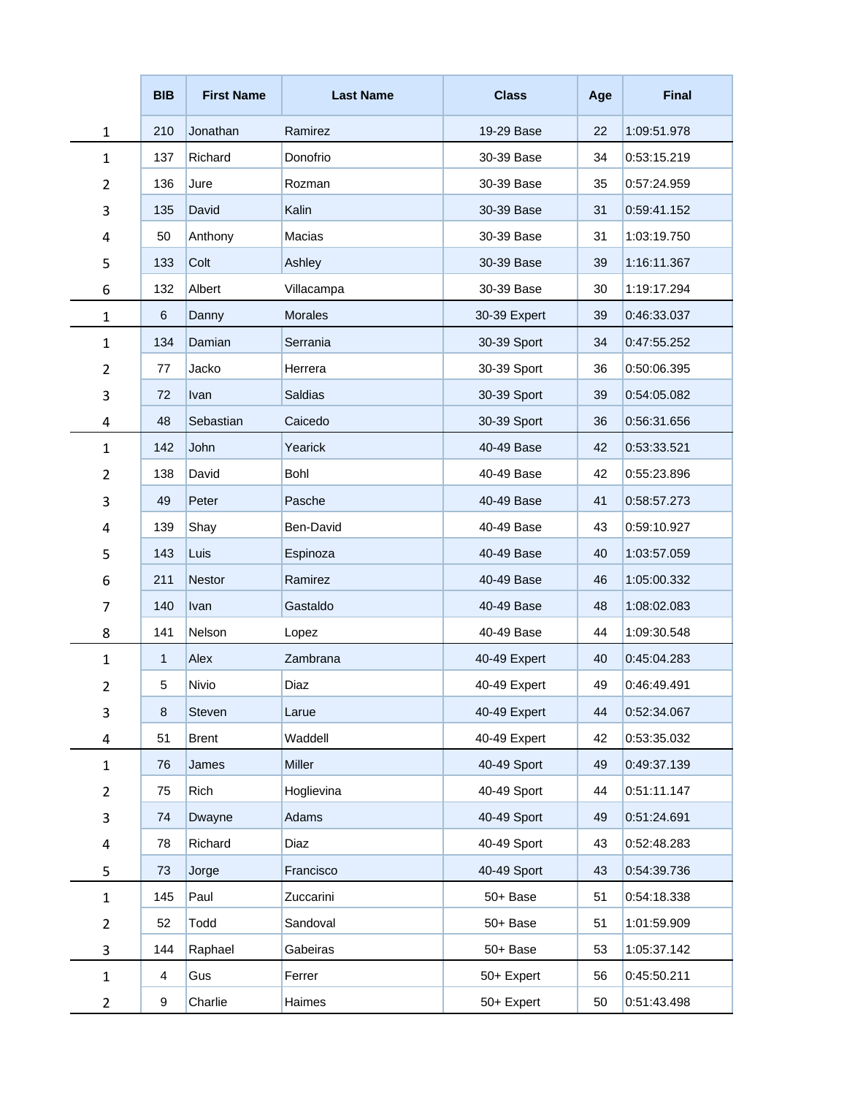|                           | <b>BIB</b> | <b>First Name</b>    | <b>Last Name</b> | <b>Class</b> | Age | <b>Final</b> |
|---------------------------|------------|----------------------|------------------|--------------|-----|--------------|
| $\mathbf{1}$              | 210        | Jonathan             | Ramirez          | 19-29 Base   | 22  | 1:09:51.978  |
| $\mathbf 1$               | 137        | Richard              | Donofrio         | 30-39 Base   | 34  | 0:53:15.219  |
| $\overline{2}$            | 136        | Jure                 | Rozman           | 30-39 Base   | 35  | 0:57:24.959  |
| 3                         | 135        | David                | Kalin            | 30-39 Base   | 31  | 0:59:41.152  |
| 4                         | 50         | Anthony              | Macias           | 30-39 Base   | 31  | 1:03:19.750  |
| 5                         | 133        | Colt                 | Ashley           | 30-39 Base   | 39  | 1:16:11.367  |
| 6                         | 132        | Albert<br>Villacampa |                  | 30-39 Base   | 30  | 1:19:17.294  |
| $\mathbf{1}$              | 6          | Danny                | <b>Morales</b>   | 30-39 Expert | 39  | 0:46:33.037  |
| $\mathbf 1$               | 134        | Damian               | Serrania         | 30-39 Sport  | 34  | 0:47:55.252  |
| $\overline{2}$            | 77         | Jacko                | Herrera          | 30-39 Sport  | 36  | 0:50:06.395  |
| $\mathsf 3$               | 72         | Ivan                 | <b>Saldias</b>   | 30-39 Sport  | 39  | 0:54:05.082  |
| 4                         | 48         | Sebastian            | Caicedo          | 30-39 Sport  | 36  | 0:56:31.656  |
| $\mathbf 1$               | 142        | John                 | Yearick          | 40-49 Base   | 42  | 0:53:33.521  |
| $\overline{2}$            | 138        | David                | Bohl             | 40-49 Base   | 42  | 0:55:23.896  |
| 3                         | 49         | Peter                | Pasche           | 40-49 Base   | 41  | 0:58:57.273  |
| 4                         | 139        | Shay                 | Ben-David        | 40-49 Base   | 43  | 0:59:10.927  |
| 5                         | 143        | Luis                 | Espinoza         | 40-49 Base   | 40  | 1:03:57.059  |
| 6                         | 211        | Nestor               | Ramirez          | 40-49 Base   | 46  | 1:05:00.332  |
| $\overline{7}$            | 140        | Ivan                 | Gastaldo         | 40-49 Base   | 48  | 1:08:02.083  |
| 8                         | 141        | Nelson               | Lopez            | 40-49 Base   | 44  | 1:09:30.548  |
| $\mathbf{1}$              | 1          | Alex                 | Zambrana         | 40-49 Expert | 40  | 0:45:04.283  |
| 2                         | 5          | Nivio                | Diaz             | 40-49 Expert | 49  | 0:46:49.491  |
| $\mathsf 3$               | 8          | Steven               | Larue            | 40-49 Expert | 44  | 0:52:34.067  |
| 4                         | 51         | <b>Brent</b>         | Waddell          | 40-49 Expert | 42  | 0:53:35.032  |
| $\mathbf 1$               | 76         | James                | Miller           | 40-49 Sport  | 49  | 0:49:37.139  |
| $\overline{2}$            | 75         | Rich                 | Hoglievina       | 40-49 Sport  | 44  | 0:51:11.147  |
| $\ensuremath{\mathsf{3}}$ | 74         | Dwayne               | Adams            | 40-49 Sport  | 49  | 0:51:24.691  |
| $\pmb{4}$                 | 78         | Richard              | Diaz             | 40-49 Sport  | 43  | 0:52:48.283  |
| 5                         | 73         | Jorge                | Francisco        | 40-49 Sport  | 43  | 0:54:39.736  |
| $\mathbf 1$               | 145        | Paul                 | Zuccarini        | 50+ Base     | 51  | 0:54:18.338  |
| $\overline{2}$            | 52         | Todd                 | Sandoval         | 50+ Base     | 51  | 1:01:59.909  |
| 3                         | 144        | Raphael              | Gabeiras         | 50+ Base     | 53  | 1:05:37.142  |
| $\mathbf 1$               | 4          | Gus                  | Ferrer           | 50+ Expert   | 56  | 0:45:50.211  |
| 2                         | 9          | Charlie              | Haimes           | 50+ Expert   | 50  | 0:51:43.498  |